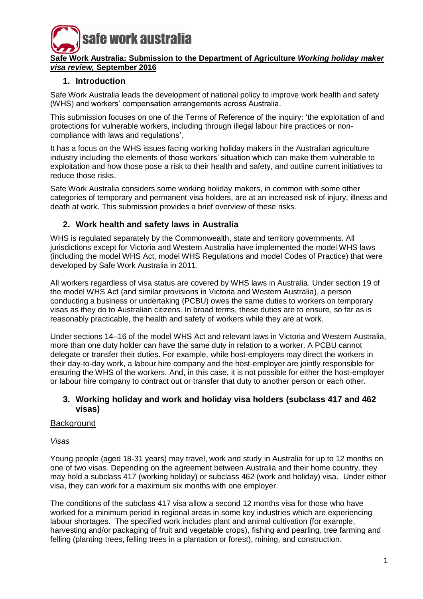

## **Safe Work Australia: Submission to the Department of Agriculture** *Working holiday maker visa review,* **September 2016**

# **1. Introduction**

Safe Work Australia leads the development of national policy to improve work health and safety (WHS) and workers' compensation arrangements across Australia.

This submission focuses on one of the Terms of Reference of the inquiry: 'the exploitation of and protections for vulnerable workers, including through illegal labour hire practices or noncompliance with laws and regulations'.

It has a focus on the WHS issues facing working holiday makers in the Australian agriculture industry including the elements of those workers' situation which can make them vulnerable to exploitation and how those pose a risk to their health and safety, and outline current initiatives to reduce those risks.

Safe Work Australia considers some working holiday makers, in common with some other categories of temporary and permanent visa holders, are at an increased risk of injury, illness and death at work. This submission provides a brief overview of these risks.

# **2. Work health and safety laws in Australia**

WHS is regulated separately by the Commonwealth, state and territory governments. All jurisdictions except for Victoria and Western Australia have implemented the model WHS laws (including the model WHS Act, model WHS Regulations and model Codes of Practice) that were developed by Safe Work Australia in 2011.

All workers regardless of visa status are covered by WHS laws in Australia. Under section 19 of the model WHS Act (and similar provisions in Victoria and Western Australia), a person conducting a business or undertaking (PCBU) owes the same duties to workers on temporary visas as they do to Australian citizens. In broad terms, these duties are to ensure, so far as is reasonably practicable, the health and safety of workers while they are at work.

Under sections 14–16 of the model WHS Act and relevant laws in Victoria and Western Australia, more than one duty holder can have the same duty in relation to a worker. A PCBU cannot delegate or transfer their duties. For example, while host-employers may direct the workers in their day-to-day work, a labour hire company and the host-employer are jointly responsible for ensuring the WHS of the workers. And, in this case, it is not possible for either the host-employer or labour hire company to contract out or transfer that duty to another person or each other.

# **3. Working holiday and work and holiday visa holders (subclass 417 and 462 visas)**

# **Background**

*Visas*

Young people (aged 18-31 years) may travel, work and study in Australia for up to 12 months on one of two visas. Depending on the agreement between Australia and their home country, they may hold a subclass 417 (working holiday) or subclass 462 (work and holiday) visa. Under either visa, they can work for a maximum six months with one employer.

The conditions of the subclass 417 visa allow a second 12 months visa for those who have worked for a minimum period in regional areas in some key industries which are experiencing labour shortages. The specified work includes plant and animal cultivation (for example, harvesting and/or packaging of fruit and vegetable crops), fishing and pearling, tree farming and felling (planting trees, felling trees in a plantation or forest), mining, and construction.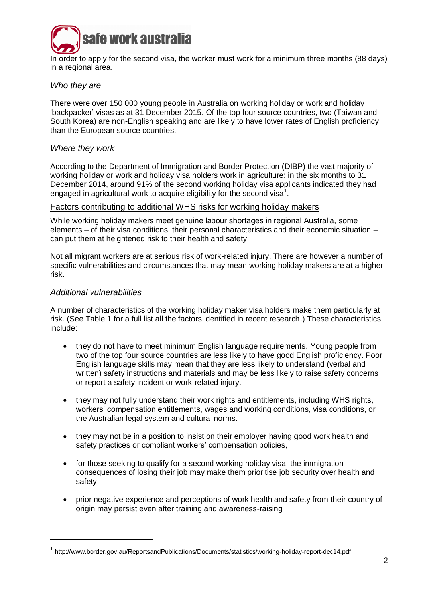

In order to apply for the second visa, the worker must work for a minimum three months (88 days) in a regional area.

## *Who they are*

There were over 150 000 young people in Australia on working holiday or work and holiday 'backpacker' visas as at 31 December 2015. Of the top four source countries, two (Taiwan and South Korea) are non-English speaking and are likely to have lower rates of English proficiency than the European source countries.

## *Where they work*

According to the Department of Immigration and Border Protection (DIBP) the vast majority of working holiday or work and holiday visa holders work in agriculture: in the six months to 31 December 2014, around 91% of the second working holiday visa applicants indicated they had engaged in agricultural work to acquire eligibility for the second visa<sup>1</sup>.

#### Factors contributing to additional WHS risks for working holiday makers

While working holiday makers meet genuine labour shortages in regional Australia, some elements – of their visa conditions, their personal characteristics and their economic situation – can put them at heightened risk to their health and safety.

Not all migrant workers are at serious risk of work-related injury. There are however a number of specific vulnerabilities and circumstances that may mean working holiday makers are at a higher risk.

#### *Additional vulnerabilities*

-

A number of characteristics of the working holiday maker visa holders make them particularly at risk. (See Table 1 for a full list all the factors identified in recent research.) These characteristics include:

- they do not have to meet minimum English language requirements. Young people from two of the top four source countries are less likely to have good English proficiency. Poor English language skills may mean that they are less likely to understand (verbal and written) safety instructions and materials and may be less likely to raise safety concerns or report a safety incident or work-related injury.
- they may not fully understand their work rights and entitlements, including WHS rights, workers' compensation entitlements, wages and working conditions, visa conditions, or the Australian legal system and cultural norms.
- they may not be in a position to insist on their employer having good work health and safety practices or compliant workers' compensation policies,
- for those seeking to qualify for a second working holiday visa, the immigration consequences of losing their job may make them prioritise job security over health and safety
- prior negative experience and perceptions of work health and safety from their country of origin may persist even after training and awareness-raising

<sup>&</sup>lt;sup>1</sup> http://www.border.gov.au/ReportsandPublications/Documents/statistics/working-holiday-report-dec14.pdf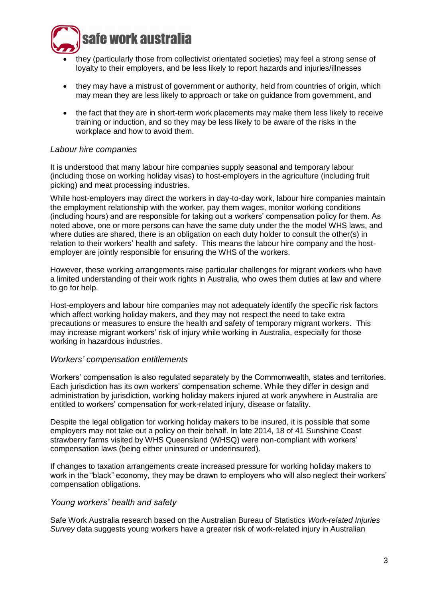

- they (particularly those from collectivist orientated societies) may feel a strong sense of loyalty to their employers, and be less likely to report hazards and injuries/illnesses
- they may have a mistrust of government or authority, held from countries of origin, which may mean they are less likely to approach or take on guidance from government, and
- the fact that they are in short-term work placements may make them less likely to receive training or induction, and so they may be less likely to be aware of the risks in the workplace and how to avoid them.

## *Labour hire companies*

It is understood that many labour hire companies supply seasonal and temporary labour (including those on working holiday visas) to host-employers in the agriculture (including fruit picking) and meat processing industries.

While host-employers may direct the workers in day-to-day work, labour hire companies maintain the employment relationship with the worker, pay them wages, monitor working conditions (including hours) and are responsible for taking out a workers' compensation policy for them. As noted above, one or more persons can have the same duty under the the model WHS laws, and where duties are shared, there is an obligation on each duty holder to consult the other(s) in relation to their workers' health and safety. This means the labour hire company and the hostemployer are jointly responsible for ensuring the WHS of the workers.

However, these working arrangements raise particular challenges for migrant workers who have a limited understanding of their work rights in Australia, who owes them duties at law and where to go for help.

Host-employers and labour hire companies may not adequately identify the specific risk factors which affect working holiday makers, and they may not respect the need to take extra precautions or measures to ensure the health and safety of temporary migrant workers. This may increase migrant workers' risk of injury while working in Australia, especially for those working in hazardous industries.

## *Workers' compensation entitlements*

Workers' compensation is also regulated separately by the Commonwealth, states and territories. Each jurisdiction has its own workers' compensation scheme. While they differ in design and administration by jurisdiction, working holiday makers injured at work anywhere in Australia are entitled to workers' compensation for work-related injury, disease or fatality.

Despite the legal obligation for working holiday makers to be insured, it is possible that some employers may not take out a policy on their behalf. In late 2014, 18 of 41 Sunshine Coast strawberry farms visited by WHS Queensland (WHSQ) were non-compliant with workers' compensation laws (being either uninsured or underinsured).

If changes to taxation arrangements create increased pressure for working holiday makers to work in the "black" economy, they may be drawn to employers who will also neglect their workers' compensation obligations.

## *Young workers' health and safety*

Safe Work Australia research based on the Australian Bureau of Statistics *Work-related Injuries Survey* data suggests young workers have a greater risk of work-related injury in Australian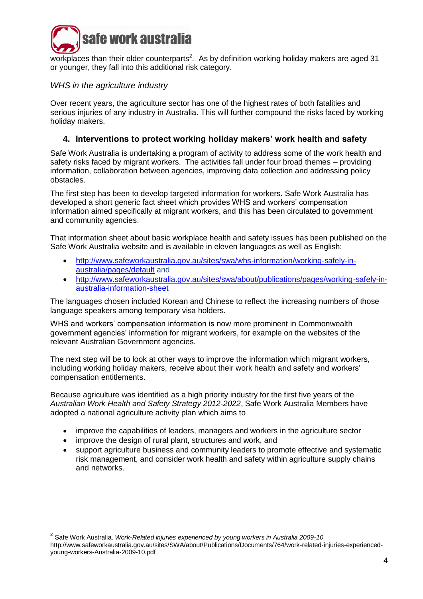

workplaces than their older counterparts<sup>2</sup>. As by definition working holiday makers are aged 31 or younger, they fall into this additional risk category.

# *WHS in the agriculture industry*

Over recent years, the agriculture sector has one of the highest rates of both fatalities and serious injuries of any industry in Australia. This will further compound the risks faced by working holiday makers.

# **4. Interventions to protect working holiday makers' work health and safety**

Safe Work Australia is undertaking a program of activity to address some of the work health and safety risks faced by migrant workers. The activities fall under four broad themes – providing information, collaboration between agencies, improving data collection and addressing policy obstacles.

The first step has been to develop targeted information for workers. Safe Work Australia has developed a short generic fact sheet which provides WHS and workers' compensation information aimed specifically at migrant workers, and this has been circulated to government and community agencies.

That information sheet about basic workplace health and safety issues has been published on the Safe Work Australia website and is available in eleven languages as well as English:

- [http://www.safeworkaustralia.gov.au/sites/swa/whs-information/working-safely-in](http://www.safeworkaustralia.gov.au/sites/swa/whs-information/working-safely-in-australia/pages/default)[australia/pages/default](http://www.safeworkaustralia.gov.au/sites/swa/whs-information/working-safely-in-australia/pages/default) and
- [http://www.safeworkaustralia.gov.au/sites/swa/about/publications/pages/working-safely-in](http://www.safeworkaustralia.gov.au/sites/swa/about/publications/pages/working-safely-in-australia-information-sheet)[australia-information-sheet](http://www.safeworkaustralia.gov.au/sites/swa/about/publications/pages/working-safely-in-australia-information-sheet)

The languages chosen included Korean and Chinese to reflect the increasing numbers of those language speakers among temporary visa holders.

WHS and workers' compensation information is now more prominent in Commonwealth government agencies' information for migrant workers, for example on the websites of the relevant Australian Government agencies.

The next step will be to look at other ways to improve the information which migrant workers, including working holiday makers, receive about their work health and safety and workers' compensation entitlements.

Because agriculture was identified as a high priority industry for the first five years of the *Australian Work Health and Safety Strategy 2012-2022*, Safe Work Australia Members have adopted a national agriculture activity plan which aims to

- improve the capabilities of leaders, managers and workers in the agriculture sector
- improve the design of rural plant, structures and work, and

-

 support agriculture business and community leaders to promote effective and systematic risk management, and consider work health and safety within agriculture supply chains and networks.

<sup>2</sup> Safe Work Australia, *Work-Related injuries experienced by young workers in Australia 2009-10* http://www.safeworkaustralia.gov.au/sites/SWA/about/Publications/Documents/764/work-related-injuries-experiencedyoung-workers-Australia-2009-10.pdf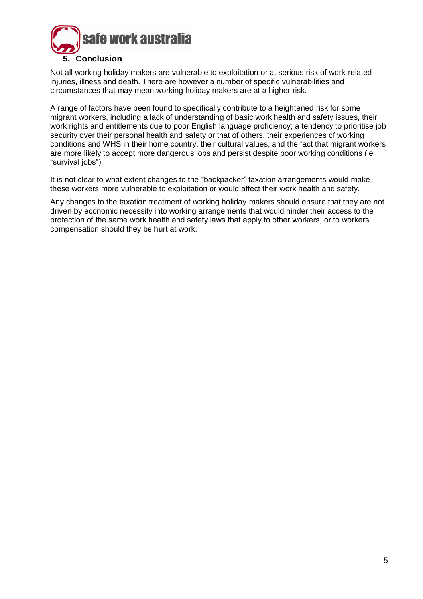

Not all working holiday makers are vulnerable to exploitation or at serious risk of work-related injuries, illness and death. There are however a number of specific vulnerabilities and circumstances that may mean working holiday makers are at a higher risk.

A range of factors have been found to specifically contribute to a heightened risk for some migrant workers, including a lack of understanding of basic work health and safety issues, their work rights and entitlements due to poor English language proficiency; a tendency to prioritise job security over their personal health and safety or that of others, their experiences of working conditions and WHS in their home country, their cultural values, and the fact that migrant workers are more likely to accept more dangerous jobs and persist despite poor working conditions (ie "survival jobs").

It is not clear to what extent changes to the "backpacker" taxation arrangements would make these workers more vulnerable to exploitation or would affect their work health and safety.

Any changes to the taxation treatment of working holiday makers should ensure that they are not driven by economic necessity into working arrangements that would hinder their access to the protection of the same work health and safety laws that apply to other workers, or to workers' compensation should they be hurt at work.